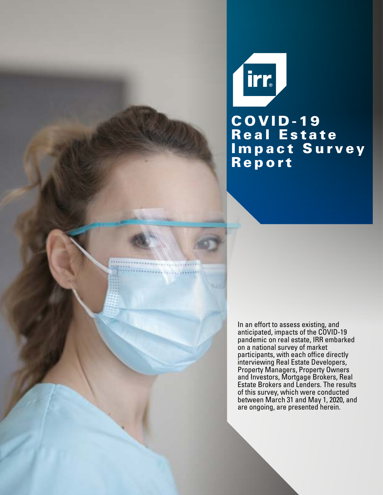irr, C O V I D - 19 **Real Estate** Impact Survey Report

In an effort to assess existing, and anticipated, impacts of the COVID-19 pandemic on real estate, IRR embarked on a national survey of market participants, with each office directly interviewing Real Estate Developers, Property Managers, Property Owners and Investors, Mortgage Brokers, Real Estate Brokers and Lenders. The results of this survey, which were conducted between March 31 and May 1, 2020, and are ongoing, are presented herein.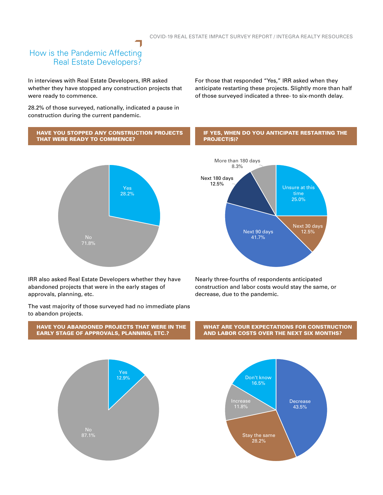#### How is the Pandemic Affecting Real Estate Developers?

In interviews with Real Estate Developers, IRR asked whether they have stopped any construction projects that were ready to commence.

28.2% of those surveyed, nationally, indicated a pause in construction during the current pandemic.

For those that responded "Yes," IRR asked when they anticipate restarting these projects. Slightly more than half of those surveyed indicated a three- to six-month delay.

#### HAVE YOU STOPPED ANY CONSTRUCTION PROJECTS THAT WERE READY TO COMMENCE? IF YES, WHEN DO YOU ANTICIPATE RESTARTING THE PROJECT(S)?



IRR also asked Real Estate Developers whether they have abandoned projects that were in the early stages of approvals, planning, etc.

The vast majority of those surveyed had no immediate plans to abandon projects.







Nearly three-fourths of respondents anticipated construction and labor costs would stay the same, or decrease, due to the pandemic.

WHAT ARE YOUR EXPECTATIONS FOR CONSTRUCTION AND LABOR COSTS OVER THE NEXT SIX MONTHS?

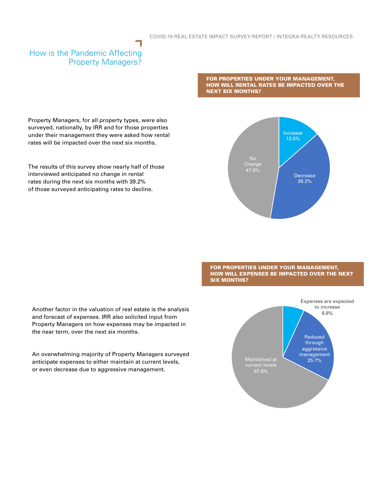## How is the Pandemic Affecting Property Managers?

FOR PROPERTIES UNDER YOUR MANAGEMENT, HOW WILL RENTAL RATES BE IMPACTED OVER THE NEXT SIX MONTHS?



FOR PROPERTIES UNDER YOUR MANAGEMENT, HOW WILL EXPENSES BE IMPACTED OVER THE NEXT SIX MONTHS?



Property Managers, for all property types, were also surveyed, nationally, by IRR and for those properties under their management they were asked how rental rates will be impacted over the next six months.

The results of this survey show nearly half of those interviewed anticipated no change in rental rates during the next six months with 39.2% of those surveyed anticipating rates to decline.

Another factor in the valuation of real estate is the analysis and forecast of expenses. IRR also solicited input from Property Managers on how expenses may be impacted in the near term, over the next six months.

An overwhelming majority of Property Managers surveyed anticipate expenses to either maintain at current levels, or even decrease due to aggressive management.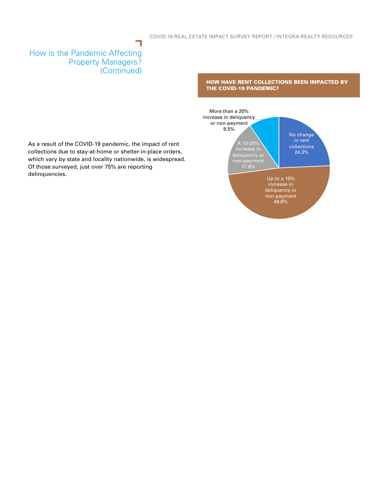### How is the Pandemic Affecting Property Managers? (Continued)

HOW HAVE RENT COLLECTIONS BEEN IMPACTED BY THE COVID-19 PANDEMIC?



As a result of the COVID-19 pandemic, the impact of rent collections due to stay-at-home or shelter-in-place orders, which vary by state and locality nationwide, is widespread. Of those surveyed, just over 75% are reporting delinquencies.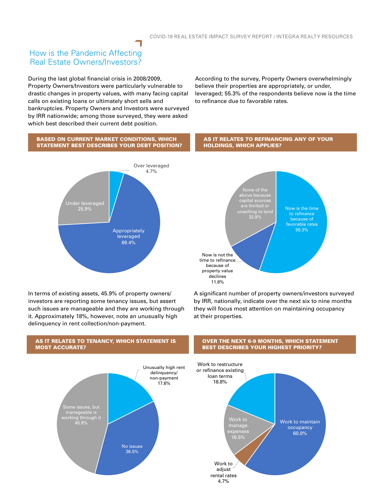#### How is the Pandemic Affecting Real Estate Owners/Investors?

During the last global financial crisis in 2008/2009, Property Owners/Investors were particularly vulnerable to drastic changes in property values, with many facing capital calls on existing loans or ultimately short sells and bankruptcies. Property Owners and Investors were surveyed by IRR nationwide; among those surveyed, they were asked which best described their current debt position.

According to the survey, Property Owners overwhelmingly believe their properties are appropriately, or under, leveraged; 55.3% of the respondents believe now is the time to refinance due to favorable rates.

AS IT RELATES TO REFINANCING ANY OF YOUR

HOLDINGS, WHICH APPLIES?

#### BASED ON CURRENT MARKET CONDITIONS, WHICH STATEMENT BEST DESCRIBES YOUR DEBT POSITION?



In terms of existing assets, 45.9% of property owners/ investors are reporting some tenancy issues, but assert such issues are manageable and they are working through it. Approximately 18%, however, note an unusually high delinquency in rent collection/non-payment.



A significant number of property owners/investors surveyed by IRR, nationally, indicate over the next six to nine months they will focus most attention on maintaining occupancy at their properties.



# AS IT RELATES TO TENANCY, WHICH STATEMENT IS

#### OVER THE NEXT 6-9 MONTHS, WHICH STATEMENT BEST DESCRIBES YOUR HIGHEST PRIORITY?

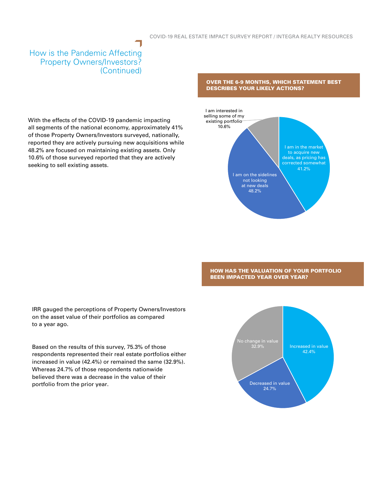#### How is the Pandemic Affecting Property Owners/Investors? (Continued)

With the effects of the COVID-19 pandemic impacting all segments of the national economy, approximately 41% of those Property Owners/Investors surveyed, nationally, reported they are actively pursuing new acquisitions while 48.2% are focused on maintaining existing assets. Only 10.6% of those surveyed reported that they are actively seeking to sell existing assets.

#### OVER THE 6-9 MONTHS, WHICH STATEMENT BEST DESCRIBES YOUR LIKELY ACTIONS?



HOW HAS THE VALUATION OF YOUR PORTFOLIO BEEN IMPACTED YEAR OVER YEAR?

IRR gauged the perceptions of Property Owners/Investors on the asset value of their portfolios as compared to a year ago.

Based on the results of this survey, 75.3% of those respondents represented their real estate portfolios either increased in value (42.4%) or remained the same (32.9%). Whereas 24.7% of those respondents nationwide believed there was a decrease in the value of their portfolio from the prior year.

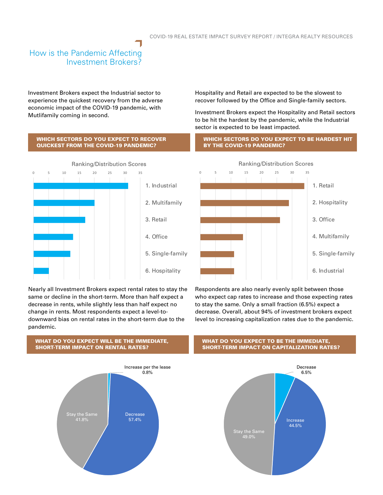## How is the Pandemic Affecting Investment Brokers?

Investment Brokers expect the Industrial sector to experience the quickest recovery from the adverse economic impact of the COVID-19 pandemic, with Mutlifamily coming in second.

Hospitality and Retail are expected to be the slowest to recover followed by the Office and Single-family sectors.

Investment Brokers expect the Hospitality and Retail sectors to be hit the hardest by the pandemic, while the Industrial sector is expected to be least impacted.

#### WHICH SECTORS DO YOU EXPECT TO RECOVER QUICKEST FROM THE COVID-19 PANDEMIC? WHICH SECTORS DO YOU EXPECT TO BE HARDEST HIT BY THE COVID-19 PANDEMIC?



Nearly all Investment Brokers expect rental rates to stay the same or decline in the short-term. More than half expect a decrease in rents, while slightly less than half expect no change in rents. Most respondents expect a level-todownward bias on rental rates in the short-term due to the pandemic.



#### WHAT DO YOU EXPECT WILL BE THE IMMEDIATE, SHORT-TERM IMPACT ON RENTAL RATES?

#### WHAT DO YOU EXPECT TO BE THE IMMEDIATE, SHORT-TERM IMPACT ON CAPITALIZATION RATES?





Respondents are also nearly evenly split between those who expect cap rates to increase and those expecting rates to stay the same. Only a small fraction (6.5%) expect a decrease. Overall, about 94% of investment brokers expect level to increasing capitalization rates due to the pandemic.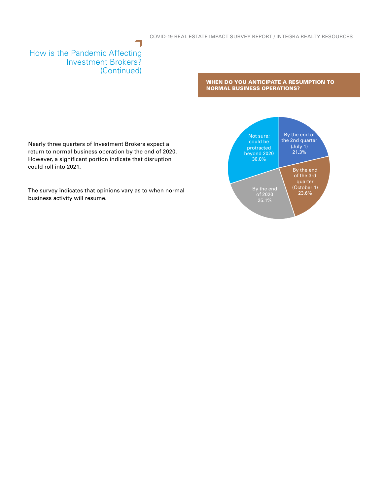#### How is the Pandemic Affecting Investment Brokers? (Continued)

could roll into 2021.

WHEN DO YOU ANTICIPATE A RESUMPTION TO NORMAL BUSINESS OPERATIONS?

> By the end of the 2nd quarter (July 1) 21.3%

> > By the end of the 3rd quarter (October 1)



The survey indicates that opinions vary as to when normal business activity will resume.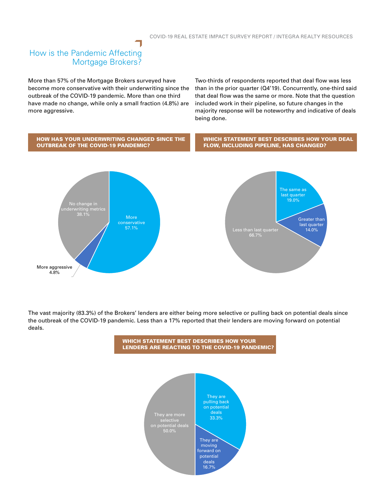# How is the Pandemic Affecting Mortgage Brokers?

More than 57% of the Mortgage Brokers surveyed have become more conservative with their underwriting since the outbreak of the COVID-19 pandemic. More than one third have made no change, while only a small fraction (4.8%) are more aggressive.

Two-thirds of respondents reported that deal flow was less than in the prior quarter (Q4'19). Concurrently, one-third said that deal flow was the same or more. Note that the question included work in their pipeline, so future changes in the majority response will be noteworthy and indicative of deals being done.



The vast majority (83.3%) of the Brokers' lenders are either being more selective or pulling back on potential deals since the outbreak of the COVID-19 pandemic. Less than a 17% reported that their lenders are moving forward on potential deals.



WHICH STATEMENT BEST DESCRIBES HOW YOUR LENDERS ARE REACTING TO THE COVID-19 PANDEMIC?